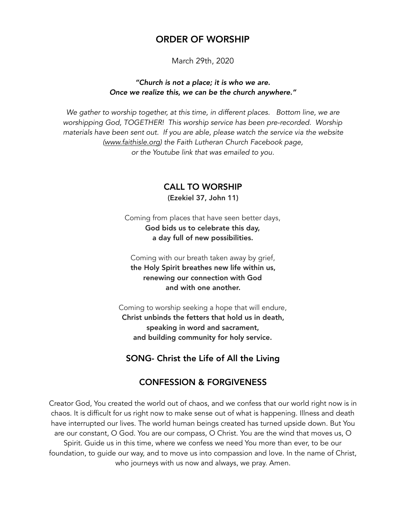## ORDER OF WORSHIP

March 29th, 2020

#### *"Church is not a place; it is who we are. Once we realize this, we can be the church anywhere."*

*We gather to worship together, at this time, in different places. Bottom line, we are worshipping God, TOGETHER! This worship service has been pre-recorded. Worship materials have been sent out. If you are able, please watch the service via the website ([www.faithisle.org](http://www.faithisle.org)) the Faith Lutheran Church Facebook page, or the Youtube link that was emailed to you.* 

### CALL TO WORSHIP

(Ezekiel 37, John 11)

Coming from places that have seen better days, God bids us to celebrate this day, a day full of new possibilities.

Coming with our breath taken away by grief, the Holy Spirit breathes new life within us, renewing our connection with God and with one another.

Coming to worship seeking a hope that will endure, Christ unbinds the fetters that hold us in death, speaking in word and sacrament, and building community for holy service.

### SONG- Christ the Life of All the Living

### CONFESSION & FORGIVENESS

Creator God, You created the world out of chaos, and we confess that our world right now is in chaos. It is difficult for us right now to make sense out of what is happening. Illness and death have interrupted our lives. The world human beings created has turned upside down. But You are our constant, O God. You are our compass, O Christ. You are the wind that moves us, O Spirit. Guide us in this time, where we confess we need You more than ever, to be our foundation, to guide our way, and to move us into compassion and love. In the name of Christ, who journeys with us now and always, we pray. Amen.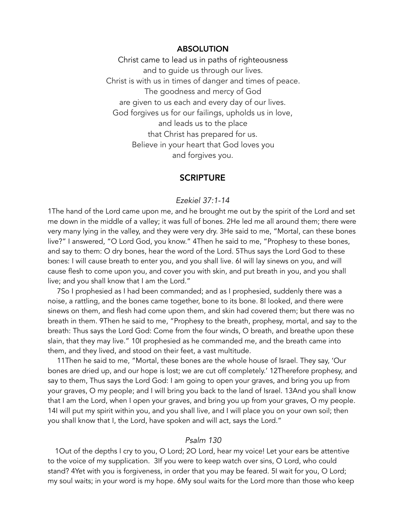#### ABSOLUTION

Christ came to lead us in paths of righteousness and to guide us through our lives. Christ is with us in times of danger and times of peace. The goodness and mercy of God are given to us each and every day of our lives. God forgives us for our failings, upholds us in love, and leads us to the place that Christ has prepared for us. Believe in your heart that God loves you and forgives you.

### **SCRIPTURE**

#### *Ezekiel 37:1-14*

1The hand of the Lord came upon me, and he brought me out by the spirit of the Lord and set me down in the middle of a valley; it was full of bones. 2He led me all around them; there were very many lying in the valley, and they were very dry. 3He said to me, "Mortal, can these bones live?" I answered, "O Lord God, you know." 4Then he said to me, "Prophesy to these bones, and say to them: O dry bones, hear the word of the Lord. 5Thus says the Lord God to these bones: I will cause breath to enter you, and you shall live. 6I will lay sinews on you, and will cause flesh to come upon you, and cover you with skin, and put breath in you, and you shall live; and you shall know that I am the Lord."

 7So I prophesied as I had been commanded; and as I prophesied, suddenly there was a noise, a rattling, and the bones came together, bone to its bone. 8I looked, and there were sinews on them, and flesh had come upon them, and skin had covered them; but there was no breath in them. 9Then he said to me, "Prophesy to the breath, prophesy, mortal, and say to the breath: Thus says the Lord God: Come from the four winds, O breath, and breathe upon these slain, that they may live." 10I prophesied as he commanded me, and the breath came into them, and they lived, and stood on their feet, a vast multitude.

 11Then he said to me, "Mortal, these bones are the whole house of Israel. They say, 'Our bones are dried up, and our hope is lost; we are cut off completely.' 12Therefore prophesy, and say to them, Thus says the Lord God: I am going to open your graves, and bring you up from your graves, O my people; and I will bring you back to the land of Israel. 13And you shall know that I am the Lord, when I open your graves, and bring you up from your graves, O my people. 14I will put my spirit within you, and you shall live, and I will place you on your own soil; then you shall know that I, the Lord, have spoken and will act, says the Lord."

#### *Psalm 130*

1Out of the depths I cry to you, O Lord; 2O Lord, hear my voice! Let your ears be attentive to the voice of my supplication. 3If you were to keep watch over sins, O Lord, who could stand? 4Yet with you is forgiveness, in order that you may be feared. 5I wait for you, O Lord; my soul waits; in your word is my hope. 6My soul waits for the Lord more than those who keep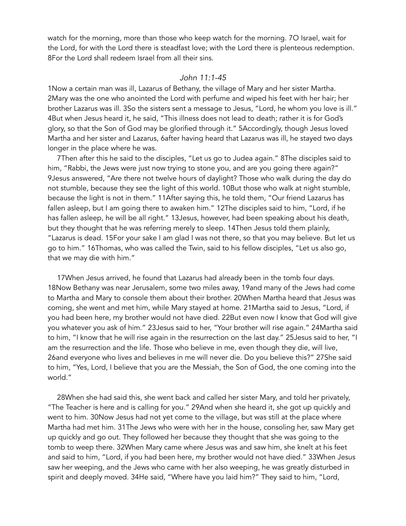watch for the morning, more than those who keep watch for the morning. 7O Israel, wait for the Lord, for with the Lord there is steadfast love; with the Lord there is plenteous redemption. 8For the Lord shall redeem Israel from all their sins.

#### *John 11:1-45*

1Now a certain man was ill, Lazarus of Bethany, the village of Mary and her sister Martha. 2Mary was the one who anointed the Lord with perfume and wiped his feet with her hair; her brother Lazarus was ill. 3So the sisters sent a message to Jesus, "Lord, he whom you love is ill." 4But when Jesus heard it, he said, "This illness does not lead to death; rather it is for God's glory, so that the Son of God may be glorified through it." 5Accordingly, though Jesus loved Martha and her sister and Lazarus, 6after having heard that Lazarus was ill, he stayed two days longer in the place where he was.

 7Then after this he said to the disciples, "Let us go to Judea again." 8The disciples said to him, "Rabbi, the Jews were just now trying to stone you, and are you going there again?" 9Jesus answered, "Are there not twelve hours of daylight? Those who walk during the day do not stumble, because they see the light of this world. 10But those who walk at night stumble, because the light is not in them." 11After saying this, he told them, "Our friend Lazarus has fallen asleep, but I am going there to awaken him." 12The disciples said to him, "Lord, if he has fallen asleep, he will be all right." 13Jesus, however, had been speaking about his death, but they thought that he was referring merely to sleep. 14Then Jesus told them plainly, "Lazarus is dead. 15For your sake I am glad I was not there, so that you may believe. But let us go to him." 16Thomas, who was called the Twin, said to his fellow disciples, "Let us also go, that we may die with him."

 17When Jesus arrived, he found that Lazarus had already been in the tomb four days. 18Now Bethany was near Jerusalem, some two miles away, 19and many of the Jews had come to Martha and Mary to console them about their brother. 20When Martha heard that Jesus was coming, she went and met him, while Mary stayed at home. 21Martha said to Jesus, "Lord, if you had been here, my brother would not have died. 22But even now I know that God will give you whatever you ask of him." 23Jesus said to her, "Your brother will rise again." 24Martha said to him, "I know that he will rise again in the resurrection on the last day." 25Jesus said to her, "I am the resurrection and the life. Those who believe in me, even though they die, will live, 26and everyone who lives and believes in me will never die. Do you believe this?" 27She said to him, "Yes, Lord, I believe that you are the Messiah, the Son of God, the one coming into the world."

 28When she had said this, she went back and called her sister Mary, and told her privately, "The Teacher is here and is calling for you." 29And when she heard it, she got up quickly and went to him. 30Now Jesus had not yet come to the village, but was still at the place where Martha had met him. 31The Jews who were with her in the house, consoling her, saw Mary get up quickly and go out. They followed her because they thought that she was going to the tomb to weep there. 32When Mary came where Jesus was and saw him, she knelt at his feet and said to him, "Lord, if you had been here, my brother would not have died." 33When Jesus saw her weeping, and the Jews who came with her also weeping, he was greatly disturbed in spirit and deeply moved. 34He said, "Where have you laid him?" They said to him, "Lord,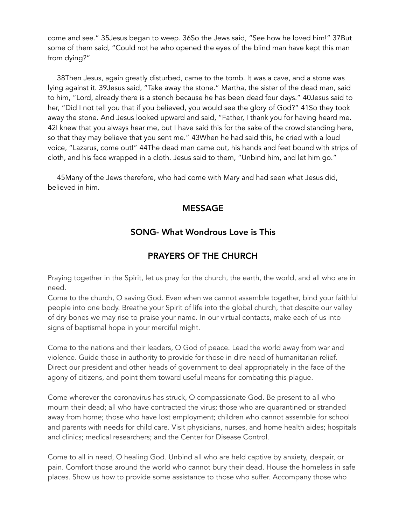come and see." 35Jesus began to weep. 36So the Jews said, "See how he loved him!" 37But some of them said, "Could not he who opened the eyes of the blind man have kept this man from dying?"

 38Then Jesus, again greatly disturbed, came to the tomb. It was a cave, and a stone was lying against it. 39Jesus said, "Take away the stone." Martha, the sister of the dead man, said to him, "Lord, already there is a stench because he has been dead four days." 40Jesus said to her, "Did I not tell you that if you believed, you would see the glory of God?" 41So they took away the stone. And Jesus looked upward and said, "Father, I thank you for having heard me. 42I knew that you always hear me, but I have said this for the sake of the crowd standing here, so that they may believe that you sent me." 43When he had said this, he cried with a loud voice, "Lazarus, come out!" 44The dead man came out, his hands and feet bound with strips of cloth, and his face wrapped in a cloth. Jesus said to them, "Unbind him, and let him go."

 45Many of the Jews therefore, who had come with Mary and had seen what Jesus did, believed in him.

## MESSAGE

## SONG- What Wondrous Love is This

## PRAYERS OF THE CHURCH

Praying together in the Spirit, let us pray for the church, the earth, the world, and all who are in need.

Come to the church, O saving God. Even when we cannot assemble together, bind your faithful people into one body. Breathe your Spirit of life into the global church, that despite our valley of dry bones we may rise to praise your name. In our virtual contacts, make each of us into signs of baptismal hope in your merciful might.

Come to the nations and their leaders, O God of peace. Lead the world away from war and violence. Guide those in authority to provide for those in dire need of humanitarian relief. Direct our president and other heads of government to deal appropriately in the face of the agony of citizens, and point them toward useful means for combating this plague.

Come wherever the coronavirus has struck, O compassionate God. Be present to all who mourn their dead; all who have contracted the virus; those who are quarantined or stranded away from home; those who have lost employment; children who cannot assemble for school and parents with needs for child care. Visit physicians, nurses, and home health aides; hospitals and clinics; medical researchers; and the Center for Disease Control.

Come to all in need, O healing God. Unbind all who are held captive by anxiety, despair, or pain. Comfort those around the world who cannot bury their dead. House the homeless in safe places. Show us how to provide some assistance to those who suffer. Accompany those who